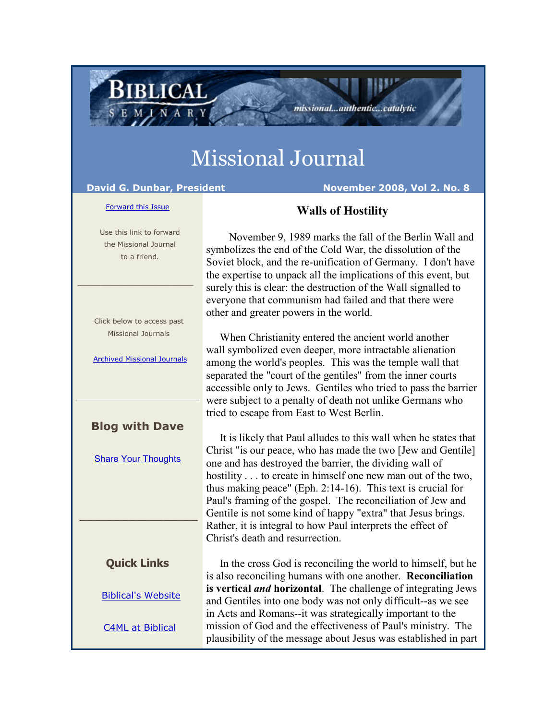# Missional Journal

**BIBLICAL** 

INAR

**David G. Dunbar, President November 2008, Vol 2. No. 8**

### [Forward this Issue](http://ui.constantcontact.com/sa/fwtf.jsp?m=1101554955461&a=1101726756528&id=preview)

## **Walls of Hostility**

other and greater powers in the world.

 Use this link to forward the Missional Journal to a friend.

 Click below to access past Missional Journals

\_\_\_\_\_\_\_\_\_\_\_\_\_\_\_\_\_\_\_\_\_\_\_\_\_

[Archived Missional Journals](http://rs6.net/tn.jsp?e=001Fl-bft8KcLNJoLxIcE9wl4ne28OHDLfGiqZ-DPk-03HcvPdpQ3G_B73G-4fh8t0r3sAeRRenManB-s5AF1Sr1TBCmHv2eGK7H6BS0wgqxLzTORe8g6b5fzczv0YbFAT6HZVxuIKoGr9hEDPtblfGFqe8lKsMQhHjZfykiH8Ay58=)

### **Blog with Dave**

[Share Your Thoughts](http://rs6.net/tn.jsp?e=001Fl-bft8KcLNJoLxIcE9wl4ne28OHDLfGiqZ-DPk-03HcvPdpQ3G_B73G-4fh8t0riuy6S8vlUYyV6t8Ha64B_-NrwaYUvQddgR7-ZJFY8jhyarT5FgT9rKipI2M77HNasvcTgZj_wGk=)

### **Quick Links**

\_\_\_\_\_\_\_\_\_\_\_\_\_\_\_\_\_

[Biblical's Website](http://rs6.net/tn.jsp?e=001Fl-bft8KcLNJoLxIcE9wl4ne28OHDLfGiqZ-DPk-03HcvPdpQ3G_B73G-4fh8t0r3sAeRRenManB-s5AF1Sr1Ug0aUOaGHmO80joBTBR7QiwKC1KQIQUc6EBD3FQA-OX)

[C4ML at Biblical](http://rs6.net/tn.jsp?e=001Fl-bft8KcLNJoLxIcE9wl4ne28OHDLfGiqZ-DPk-03HcvPdpQ3G_B73G-4fh8t0r3sAeRRenMamQQpLa-UVrYfxkDwoG5c0OgkCyuCD2-rQ=)

 When Christianity entered the ancient world another wall symbolized even deeper, more intractable alienation among the world's peoples. This was the temple wall that separated the "court of the gentiles" from the inner courts accessible only to Jews. Gentiles who tried to pass the barrier were subject to a penalty of death not unlike Germans who tried to escape from East to West Berlin.

November 9, 1989 marks the fall of the Berlin Wall and

missional...authentic...catalytic

symbolizes the end of the Cold War, the dissolution of the Soviet block, and the re-unification of Germany. I don't have the expertise to unpack all the implications of this event, but surely this is clear: the destruction of the Wall signalled to everyone that communism had failed and that there were

 It is likely that Paul alludes to this wall when he states that Christ "is our peace, who has made the two [Jew and Gentile] one and has destroyed the barrier, the dividing wall of hostility . . . to create in himself one new man out of the two, thus making peace" (Eph. 2:14-16). This text is crucial for Paul's framing of the gospel. The reconciliation of Jew and Gentile is not some kind of happy "extra" that Jesus brings. Rather, it is integral to how Paul interprets the effect of Christ's death and resurrection.

 In the cross God is reconciling the world to himself, but he is also reconciling humans with one another. **Reconciliation is vertical** *and* **horizontal**. The challenge of integrating Jews and Gentiles into one body was not only difficult--as we see in Acts and Romans--it was strategically important to the mission of God and the effectiveness of Paul's ministry. The plausibility of the message about Jesus was established in part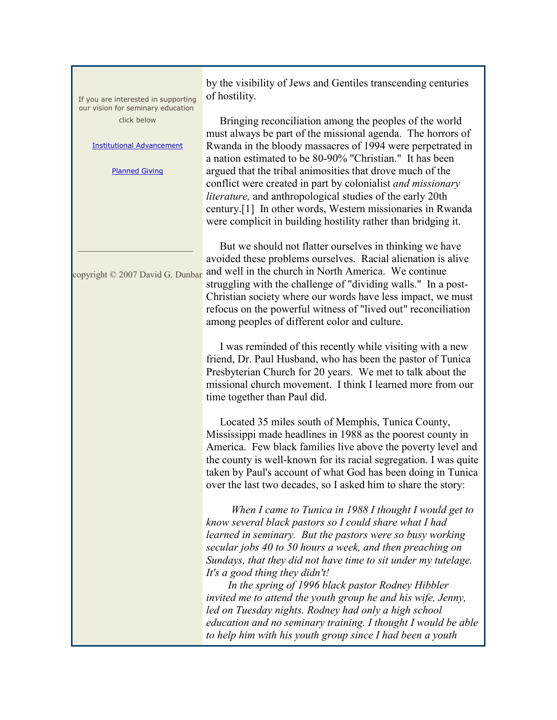| If you are interested in supporting                                                                           | by the visibility of Jews and Gentiles transcending centuries<br>of hostility.                                                                                                                                                                                                                                                                                                                                                                                                                                                                                                                                                                            |
|---------------------------------------------------------------------------------------------------------------|-----------------------------------------------------------------------------------------------------------------------------------------------------------------------------------------------------------------------------------------------------------------------------------------------------------------------------------------------------------------------------------------------------------------------------------------------------------------------------------------------------------------------------------------------------------------------------------------------------------------------------------------------------------|
| our vision for seminary education<br>click below<br><b>Institutional Advancement</b><br><b>Planned Giving</b> | Bringing reconciliation among the peoples of the world<br>must always be part of the missional agenda. The horrors of<br>Rwanda in the bloody massacres of 1994 were perpetrated in<br>a nation estimated to be 80-90% "Christian." It has been<br>argued that the tribal animosities that drove much of the<br>conflict were created in part by colonialist and missionary<br><i>literature</i> , and anthropological studies of the early 20th<br>century.[1] In other words, Western missionaries in Rwanda<br>were complicit in building hostility rather than bridging it.                                                                           |
| copyright © 2007 David G. Dunbar                                                                              | But we should not flatter ourselves in thinking we have<br>avoided these problems ourselves. Racial alienation is alive<br>and well in the church in North America. We continue<br>struggling with the challenge of "dividing walls." In a post-<br>Christian society where our words have less impact, we must<br>refocus on the powerful witness of "lived out" reconciliation<br>among peoples of different color and culture.                                                                                                                                                                                                                         |
|                                                                                                               | I was reminded of this recently while visiting with a new<br>friend, Dr. Paul Husband, who has been the pastor of Tunica<br>Presbyterian Church for 20 years. We met to talk about the<br>missional church movement. I think I learned more from our<br>time together than Paul did.                                                                                                                                                                                                                                                                                                                                                                      |
|                                                                                                               | Located 35 miles south of Memphis, Tunica County,<br>Mississippi made headlines in 1988 as the poorest county in<br>America. Few black families live above the poverty level and<br>the county is well-known for its racial segregation. I was quite<br>taken by Paul's account of what God has been doing in Tunica<br>over the last two decades, so I asked him to share the story:                                                                                                                                                                                                                                                                     |
|                                                                                                               | When I came to Tunica in 1988 I thought I would get to<br>know several black pastors so I could share what I had<br>learned in seminary. But the pastors were so busy working<br>secular jobs 40 to 50 hours a week, and then preaching on<br>Sundays, that they did not have time to sit under my tutelage.<br>It's a good thing they didn't!<br>In the spring of 1996 black pastor Rodney Hibbler<br>invited me to attend the youth group he and his wife, Jenny,<br>led on Tuesday nights. Rodney had only a high school<br>education and no seminary training. I thought I would be able<br>to help him with his youth group since I had been a youth |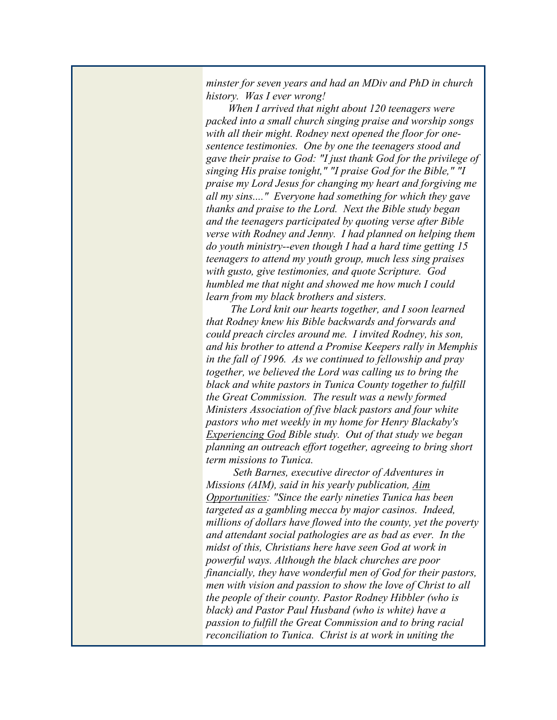*minster for seven years and had an MDiv and PhD in church history. Was I ever wrong!*

 *When I arrived that night about 120 teenagers were packed into a small church singing praise and worship songs with all their might. Rodney next opened the floor for onesentence testimonies. One by one the teenagers stood and gave their praise to God: "I just thank God for the privilege of singing His praise tonight," "I praise God for the Bible," "I praise my Lord Jesus for changing my heart and forgiving me all my sins...." Everyone had something for which they gave thanks and praise to the Lord. Next the Bible study began and the teenagers participated by quoting verse after Bible verse with Rodney and Jenny. I had planned on helping them do youth ministry--even though I had a hard time getting 15 teenagers to attend my youth group, much less sing praises with gusto, give testimonies, and quote Scripture. God humbled me that night and showed me how much I could learn from my black brothers and sisters.* 

 *The Lord knit our hearts together, and I soon learned that Rodney knew his Bible backwards and forwards and could preach circles around me. I invited Rodney, his son, and his brother to attend a Promise Keepers rally in Memphis in the fall of 1996. As we continued to fellowship and pray together, we believed the Lord was calling us to bring the black and white pastors in Tunica County together to fulfill the Great Commission. The result was a newly formed Ministers Association of five black pastors and four white pastors who met weekly in my home for Henry Blackaby's Experiencing God Bible study. Out of that study we began planning an outreach effort together, agreeing to bring short term missions to Tunica.* 

 *Seth Barnes, executive director of Adventures in Missions (AIM), said in his yearly publication, Aim Opportunities: "Since the early nineties Tunica has been targeted as a gambling mecca by major casinos. Indeed, millions of dollars have flowed into the county, yet the poverty and attendant social pathologies are as bad as ever. In the midst of this, Christians here have seen God at work in powerful ways. Although the black churches are poor financially, they have wonderful men of God for their pastors, men with vision and passion to show the love of Christ to all the people of their county. Pastor Rodney Hibbler (who is black) and Pastor Paul Husband (who is white) have a passion to fulfill the Great Commission and to bring racial reconciliation to Tunica. Christ is at work in uniting the*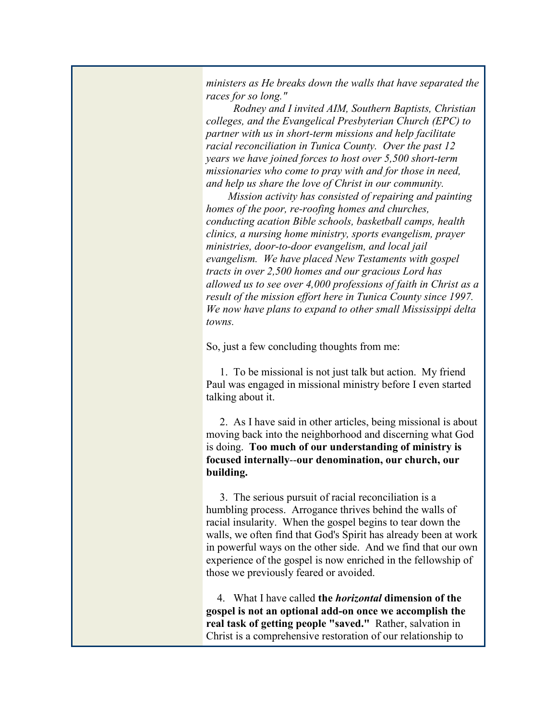*ministers as He breaks down the walls that have separated the races for so long."*

 *Rodney and I invited AIM, Southern Baptists, Christian colleges, and the Evangelical Presbyterian Church (EPC) to partner with us in short-term missions and help facilitate racial reconciliation in Tunica County. Over the past 12 years we have joined forces to host over 5,500 short-term missionaries who come to pray with and for those in need, and help us share the love of Christ in our community.* 

 *Mission activity has consisted of repairing and painting homes of the poor, re-roofing homes and churches, conducting acation Bible schools, basketball camps, health clinics, a nursing home ministry, sports evangelism, prayer ministries, door-to-door evangelism, and local jail evangelism. We have placed New Testaments with gospel tracts in over 2,500 homes and our gracious Lord has allowed us to see over 4,000 professions of faith in Christ as a result of the mission effort here in Tunica County since 1997. We now have plans to expand to other small Mississippi delta towns.*

So, just a few concluding thoughts from me:

 1. To be missional is not just talk but action. My friend Paul was engaged in missional ministry before I even started talking about it.

 2. As I have said in other articles, being missional is about moving back into the neighborhood and discerning what God is doing. **Too much of our understanding of ministry is focused internally**--**our denomination, our church, our building.** 

 3. The serious pursuit of racial reconciliation is a humbling process. Arrogance thrives behind the walls of racial insularity. When the gospel begins to tear down the walls, we often find that God's Spirit has already been at work in powerful ways on the other side. And we find that our own experience of the gospel is now enriched in the fellowship of those we previously feared or avoided.

 4. What I have called **the** *horizontal* **dimension of the gospel is not an optional add-on once we accomplish the real task of getting people "saved."** Rather, salvation in Christ is a comprehensive restoration of our relationship to